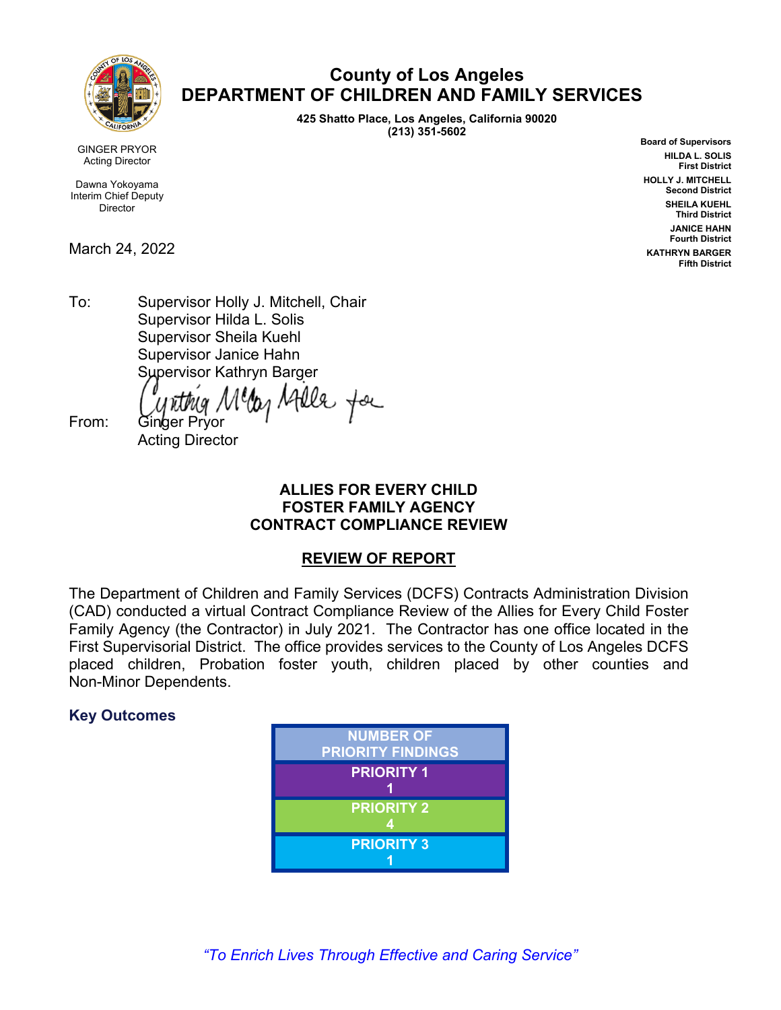

**County of Los Angeles DEPARTMENT OF CHILDREN AND FAMILY SERVICES** 

> **425 Shatto Place, Los Angeles, California 90020 (213) 351-5602**

**Board of Supervisors HILDA L. SOLIS First District HOLLY J. MITCHELL Second District SHEILA KUEHL Third District JANICE HAHN Fourth District KATHRYN BARGER Fifth District**

GINGER PRYOR Acting Director

Dawna Yokoyama Interim Chief Deputy **Director** 

March 24, 2022

To: Supervisor Holly J. Mitchell, Chair Supervisor Hilda L. Solis Supervisor Sheila Kuehl Supervisor Janice Hahn Supervisor Kathryn Barger

telle for

From: Ginger Pryor Acting Director

#### **ALLIES FOR EVERY CHILD FOSTER FAMILY AGENCY CONTRACT COMPLIANCE REVIEW**

#### **REVIEW OF REPORT**

The Department of Children and Family Services (DCFS) Contracts Administration Division (CAD) conducted a virtual Contract Compliance Review of the Allies for Every Child Foster Family Agency (the Contractor) in July 2021. The Contractor has one office located in the First Supervisorial District. The office provides services to the County of Los Angeles DCFS placed children, Probation foster youth, children placed by other counties and Non-Minor Dependents.

### **Key Outcomes**

| <b>NUMBER OF</b><br><b>PRIORITY FINDINGS</b> |
|----------------------------------------------|
| <b>PRIORITY 1</b>                            |
| <b>PRIORITY 2</b>                            |
| <b>PRIORITY 3</b>                            |

*"To Enrich Lives Through Effective and Caring Service"*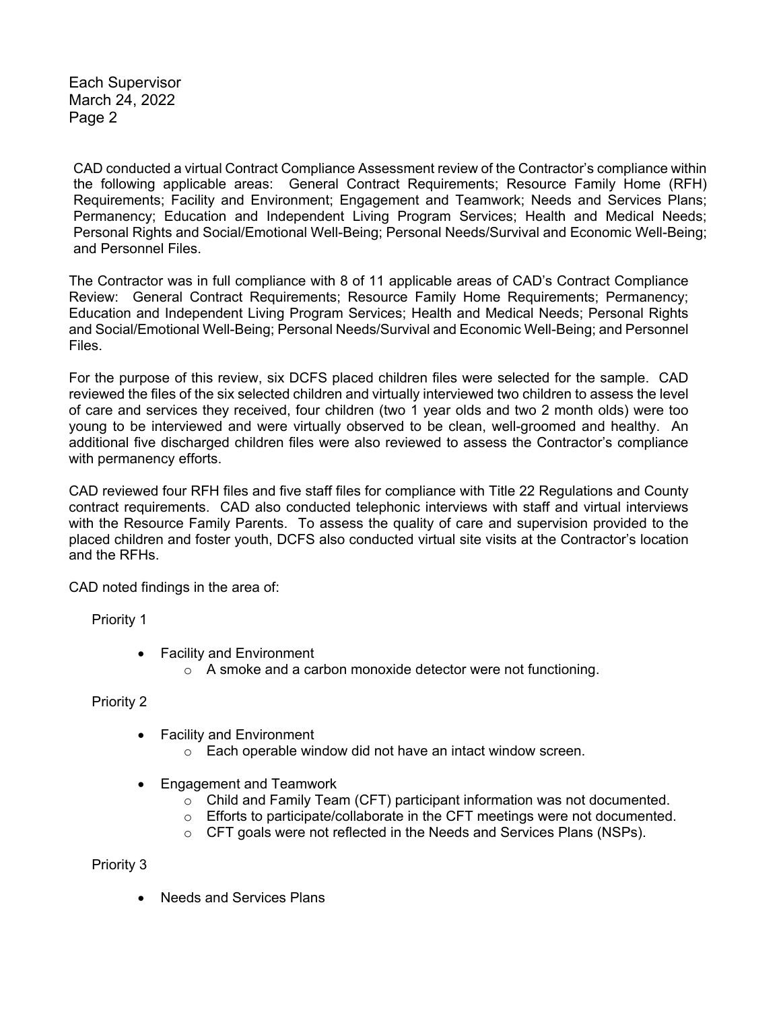Each Supervisor March 24, 2022 Page 2

CAD conducted a virtual Contract Compliance Assessment review of the Contractor's compliance within the following applicable areas: General Contract Requirements; Resource Family Home (RFH) Requirements; Facility and Environment; Engagement and Teamwork; Needs and Services Plans; Permanency; Education and Independent Living Program Services; Health and Medical Needs; Personal Rights and Social/Emotional Well-Being; Personal Needs/Survival and Economic Well-Being; and Personnel Files.

The Contractor was in full compliance with 8 of 11 applicable areas of CAD's Contract Compliance Review: General Contract Requirements; Resource Family Home Requirements; Permanency; Education and Independent Living Program Services; Health and Medical Needs; Personal Rights and Social/Emotional Well-Being; Personal Needs/Survival and Economic Well-Being; and Personnel Files.

For the purpose of this review, six DCFS placed children files were selected for the sample. CAD reviewed the files of the six selected children and virtually interviewed two children to assess the level of care and services they received, four children (two 1 year olds and two 2 month olds) were too young to be interviewed and were virtually observed to be clean, well-groomed and healthy. An additional five discharged children files were also reviewed to assess the Contractor's compliance with permanency efforts.

CAD reviewed four RFH files and five staff files for compliance with Title 22 Regulations and County contract requirements. CAD also conducted telephonic interviews with staff and virtual interviews with the Resource Family Parents. To assess the quality of care and supervision provided to the placed children and foster youth, DCFS also conducted virtual site visits at the Contractor's location and the RFHs.

CAD noted findings in the area of:

Priority 1

- Facility and Environment
	- o A smoke and a carbon monoxide detector were not functioning.

#### Priority 2

- Facility and Environment
	- o Each operable window did not have an intact window screen.
- Engagement and Teamwork
	- $\circ$  Child and Family Team (CFT) participant information was not documented.
	- $\circ$  Efforts to participate/collaborate in the CFT meetings were not documented.
	- o CFT goals were not reflected in the Needs and Services Plans (NSPs).

Priority 3

• Needs and Services Plans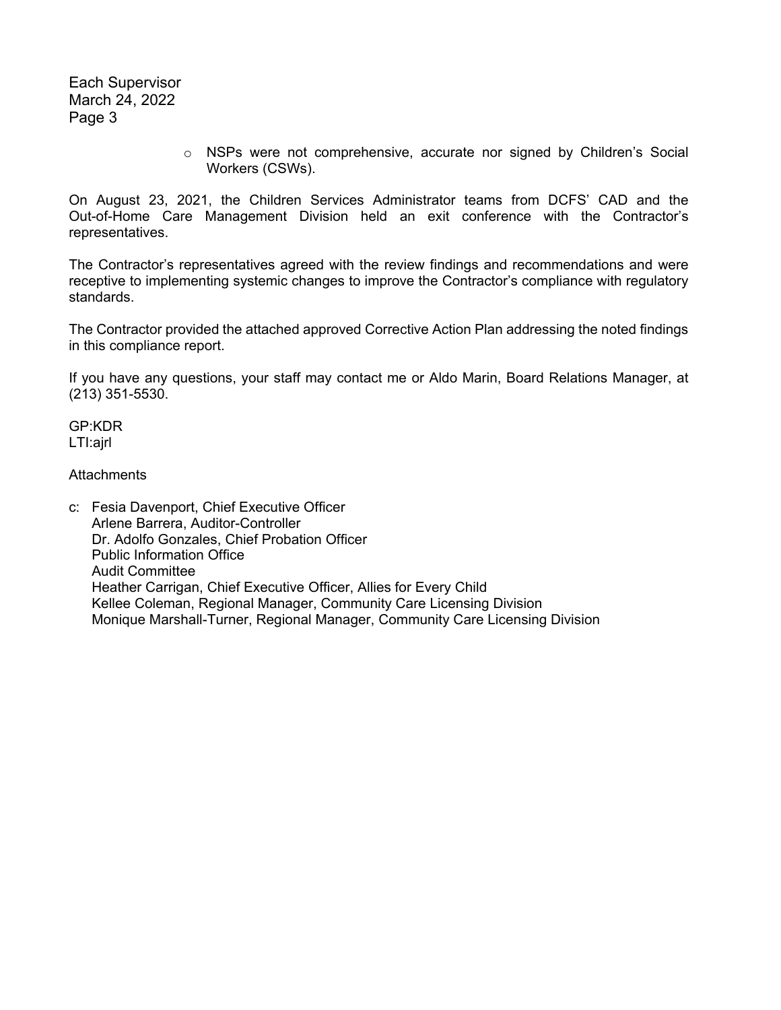Each Supervisor March 24, 2022 Page 3

> o NSPs were not comprehensive, accurate nor signed by Children's Social Workers (CSWs).

On August 23, 2021, the Children Services Administrator teams from DCFS' CAD and the Out-of-Home Care Management Division held an exit conference with the Contractor's representatives.

The Contractor's representatives agreed with the review findings and recommendations and were receptive to implementing systemic changes to improve the Contractor's compliance with regulatory standards.

The Contractor provided the attached approved Corrective Action Plan addressing the noted findings in this compliance report.

If you have any questions, your staff may contact me or Aldo Marin, Board Relations Manager, at (213) 351-5530.

GP:KDR LTI:ajrl

**Attachments** 

c: Fesia Davenport, Chief Executive Officer Arlene Barrera, Auditor-Controller Dr. Adolfo Gonzales, Chief Probation Officer Public Information Office Audit Committee Heather Carrigan, Chief Executive Officer, Allies for Every Child Kellee Coleman, Regional Manager, Community Care Licensing Division Monique Marshall-Turner, Regional Manager, Community Care Licensing Division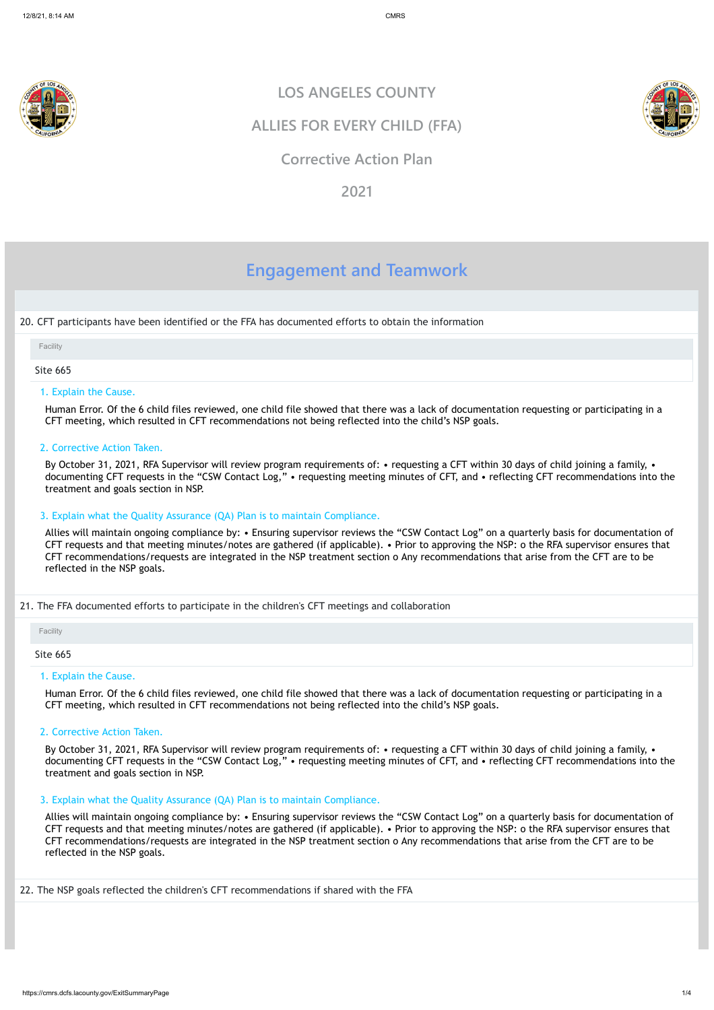

# **Engagement and Teamwork**

20. CFT participants have been identified or the FFA has documented efforts to obtain the information

#### Site 665

#### 1. Explain the Cause.

Human Error. Of the 6 child files reviewed, one child file showed that there was a lack of documentation requesting or participating in a CFT meeting, which resulted in CFT recommendations not being reflected into the child's NSP goals.

By October 31, 2021, RFA Supervisor will review program requirements of: • requesting a CFT within 30 days of child joining a family, • documenting CFT requests in the "CSW Contact Log," • requesting meeting minutes of CFT, and • reflecting CFT recommendations into the treatment and goals section in NSP.

2. Corrective Action Taken.

#### 3. Explain what the Quality Assurance (QA) Plan is to maintain Compliance.

By October 31, 2021, RFA Supervisor will review program requirements of: • requesting a CFT within 30 days of child joining a family, • documenting CFT requests in the "CSW Contact Log," • requesting meeting minutes of CFT, and • reflecting CFT recommendations into the treatment and goals section in NSP.

Allies will maintain ongoing compliance by: • Ensuring supervisor reviews the "CSW Contact Log" on a quarterly basis for documentation of CFT requests and that meeting minutes/notes are gathered (if applicable). • Prior to approving the NSP: o the RFA supervisor ensures that CFT recommendations/requests are integrated in the NSP treatment section o Any recommendations that arise from the CFT are to be reflected in the NSP goals.

21. The FFA documented efforts to participate in the children's CFT meetings and collaboration

Site 665

#### 1. Explain the Cause.

Human Error. Of the 6 child files reviewed, one child file showed that there was a lack of documentation requesting or participating in a CFT meeting, which resulted in CFT recommendations not being reflected into the child's NSP goals.

#### 2. Corrective Action Taken.

#### 3. Explain what the Quality Assurance (QA) Plan is to maintain Compliance.

Allies will maintain ongoing compliance by: • Ensuring supervisor reviews the "CSW Contact Log" on a quarterly basis for documentation of CFT requests and that meeting minutes/notes are gathered (if applicable). • Prior to approving the NSP: o the RFA supervisor ensures that CFT recommendations/requests are integrated in the NSP treatment section o Any recommendations that arise from the CFT are to be reflected in the NSP goals.

22. The NSP goals reflected the children's CFT recommendations if shared with the FFA

### **LOS ANGELES COUNTY**

### **ALLIES FOR EVERY CHILD (FFA)**

### **Corrective Action Plan**

**2021**

#### Facility

Facility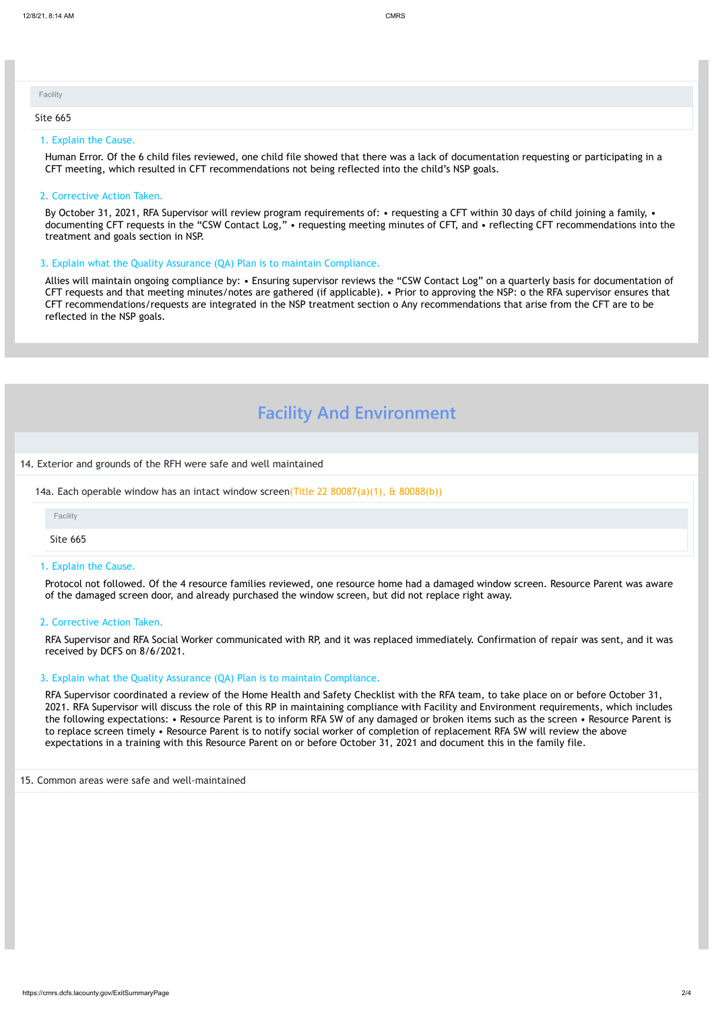#### 1. Explain the Cause.

Human Error. Of the 6 child files reviewed, one child file showed that there was a lack of documentation requesting or participating in a CFT meeting, which resulted in CFT recommendations not being reflected into the child's NSP goals.

By October 31, 2021, RFA Supervisor will review program requirements of: • requesting a CFT within 30 days of child joining a family, • documenting CFT requests in the "CSW Contact Log," • requesting meeting minutes of CFT, and • reflecting CFT recommendations into the treatment and goals section in NSP.

#### 2. Corrective Action Taken.

#### 3. Explain what the Quality Assurance (QA) Plan is to maintain Compliance.

Allies will maintain ongoing compliance by: • Ensuring supervisor reviews the "CSW Contact Log" on a quarterly basis for documentation of CFT requests and that meeting minutes/notes are gathered (if applicable). • Prior to approving the NSP: o the RFA supervisor ensures that CFT recommendations/requests are integrated in the NSP treatment section o Any recommendations that arise from the CFT are to be reflected in the NSP goals.

# **Facility And Environment**

14. Exterior and grounds of the RFH were safe and well maintained

14a. Each operable window has an intact window screen(Title 22  $80087(a)(1)$ , &  $80088(b)$ )

| Facility |  |  |  |
|----------|--|--|--|
| Site 665 |  |  |  |

Site 665

#### 1. Explain the Cause.

Protocol not followed. Of the 4 resource families reviewed, one resource home had a damaged window screen. Resource Parent was aware of the damaged screen door, and already purchased the window screen, but did not replace right away.

#### 2. Corrective Action Taken.

RFA Supervisor and RFA Social Worker communicated with RP, and it was replaced immediately. Confirmation of repair was sent, and it was received by DCFS on 8/6/2021.

#### 3. Explain what the Quality Assurance (QA) Plan is to maintain Compliance.

RFA Supervisor coordinated a review of the Home Health and Safety Checklist with the RFA team, to take place on or before October 31, 2021. RFA Supervisor will discuss the role of this RP in maintaining compliance with Facility and Environment requirements, which includes the following expectations: • Resource Parent is to inform RFA SW of any damaged or broken items such as the screen • Resource Parent is to replace screen timely • Resource Parent is to notify social worker of completion of replacement RFA SW will review the above expectations in a training with this Resource Parent on or before October 31, 2021 and document this in the family file.

#### 15. Common areas were safe and well-maintained

| <b>Facility</b> |  |  |  |
|-----------------|--|--|--|
|                 |  |  |  |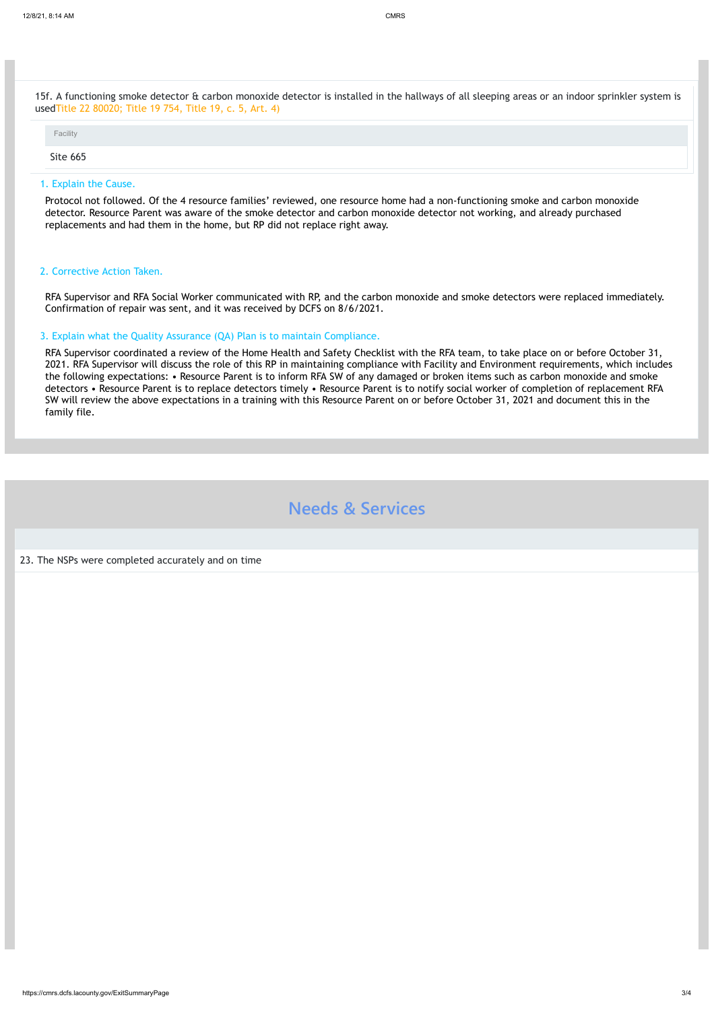https://cmrs.dcfs.lacounty.gov/ExitSummaryPage 3/4

15f. A functioning smoke detector & carbon monoxide detector is installed in the hallways of all sleeping areas or an indoor sprinkler system is usedTitle 22 80020; Title 19 754, Title 19, c. 5, Art. 4)

#### Site 665

#### 1. Explain the Cause.

Protocol not followed. Of the 4 resource families' reviewed, one resource home had a non-functioning smoke and carbon monoxide detector. Resource Parent was aware of the smoke detector and carbon monoxide detector not working, and already purchased replacements and had them in the home, but RP did not replace right away.

#### 2. Corrective Action Taken.

RFA Supervisor and RFA Social Worker communicated with RP, and the carbon monoxide and smoke detectors were replaced immediately. Confirmation of repair was sent, and it was received by DCFS on 8/6/2021.

#### 3. Explain what the Quality Assurance (QA) Plan is to maintain Compliance.

RFA Supervisor coordinated a review of the Home Health and Safety Checklist with the RFA team, to take place on or before October 31, 2021. RFA Supervisor will discuss the role of this RP in maintaining compliance with Facility and Environment requirements, which includes the following expectations: • Resource Parent is to inform RFA SW of any damaged or broken items such as carbon monoxide and smoke detectors • Resource Parent is to replace detectors timely • Resource Parent is to notify social worker of completion of replacement RFA SW will review the above expectations in a training with this Resource Parent on or before October 31, 2021 and document this in the family file.

# **Needs & Services**

23. The NSPs were completed accurately and on time

Facility